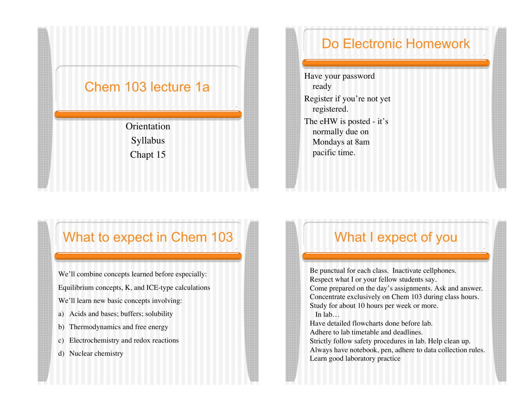#### Chem 103 lecture 1a

**Orientation** Syllabus Chapt 15

#### What to expect in Chem 103

We'll combine concepts learned before especially: Equilibrium concepts, K, and ICE-type calculations We'll learn new basic concepts involving:

- a) Acids and bases; buffers; solubility
- b) Thermodynamics and free energy
- c) Electrochemistry and redox reactions
- d) Nuclear chemistry

## Do Electronic Homework

Have your password ready Register if you're not yet registered. The eHW is posted - it's

normally due on Mondays at 8am pacific time.

#### What I expect of you

Be punctual for each class. Inactivate cellphones. Respect what I or your fellow students say. Come prepared on the day's assignments. Ask and answer. Concentrate exclusively on Chem 103 during class hours. Study for about 10 hours per week or more. In lab… Have detailed flowcharts done before lab. Adhere to lab timetable and deadlines. Strictly follow safety procedures in lab. Help clean up. Always have notebook, pen, adhere to data collection rules. Learn good laboratory practice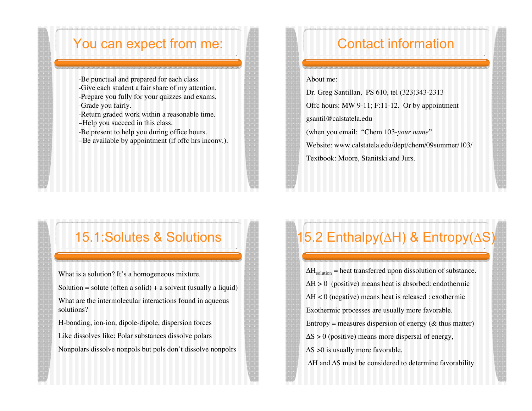#### You can expect from me:

-Be punctual and prepared for each class. -Give each student a fair share of my attention. -Prepare you fully for your quizzes and exams. -Grade you fairly.

-Return graded work within a reasonable time. -Help you succeed in this class.

-Be present to help you during office hours.

-Be available by appointment (if offc hrs inconv.).

### 15.1:Solutes & Solutions

What is a solution? It's a homogeneous mixture. Solution = solute (often a solid) + a solvent (usually a liquid) What are the intermolecular interactions found in aqueous solutions? H-bonding, ion-ion, dipole-dipole, dispersion forces

Like dissolves like: Polar substances dissolve polars Nonpolars dissolve nonpols but pols don't dissolve nonpolrs

## Contact information

#### About me:

Dr. Greg Santillan, PS 610, tel (323)343-2313 Offc hours: MW 9-11; F:11-12. Or by appointment gsantil@calstatela.edu (when you email: "Chem 103-*your name*" Website: www.calstatela.edu/dept/chem/09summer/103/ Textbook: Moore, Stanitski and Jurs.

# 15.2 Enthalpy( $\Delta H$ ) & Entropy( $\Delta S$ )

 $\Delta H_{\text{solution}}$  = heat transferred upon dissolution of substance.  $\Delta H > 0$  (positive) means heat is absorbed: endothermic  $\Delta H < 0$  (negative) means heat is released : exothermic Exothermic processes are usually more favorable. Entropy = measures dispersion of energy ( $\&$  thus matter)  $\Delta S > 0$  (positive) means more dispersal of energy,  $\Delta S > 0$  is usually more favorable.  $\Delta H$  and  $\Delta S$  must be considered to determine favorability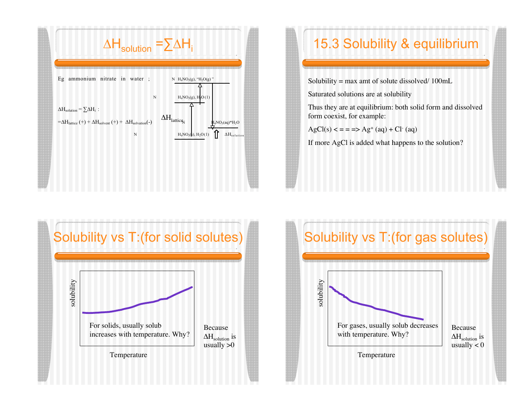

## 15.3 Solubility & equilibrium

Solubility = max amt of solute dissolved/ 100mL

Saturated solutions are at solubility

Thus they are at equilibrium: both solid form and dissolved form coexist, for example:

 $AgCl(s) \leq z \leq -2$  Ag<sup>+</sup> (aq) + Cl<sup>-</sup> (aq)

If more AgCl is added what happens to the solution?



## Solubility vs T:(for gas solutes)